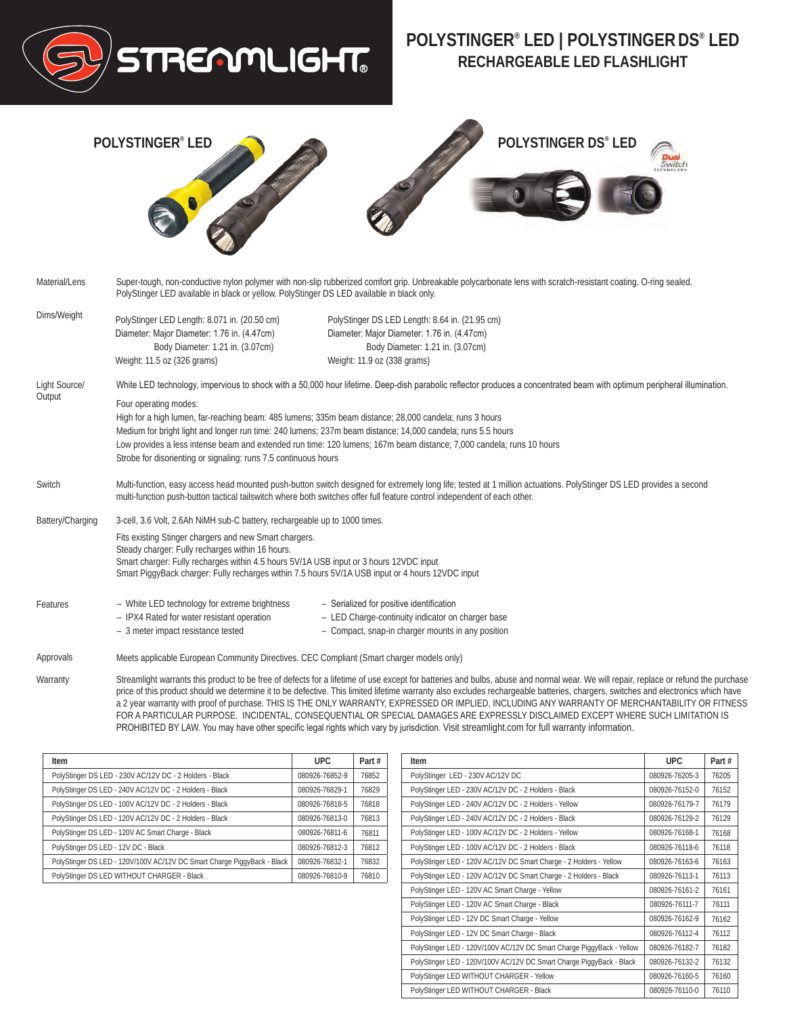

## **POLYSTINGER® LED | POLYSTINGERDS® LED RECHARGEABLE LED FLASHLIGHT**



| Item                                                                    | UPC.           | Part# |
|-------------------------------------------------------------------------|----------------|-------|
| PolyStinger DS LED - 230V AC/12V DC - 2 Holders - Black                 | 080926-76852-9 | 76852 |
| PolyStinger DS LED - 240V AC/12V DC - 2 Holders - Black                 | 080926-76829-1 | 76829 |
| PolyStinger DS LED - 100V AC/12V DC - 2 Holders - Black                 | 080926-76818-5 | 76818 |
| PolyStinger DS LED - 120V AC/12V DC - 2 Holders - Black                 | 080926-76813-0 | 76813 |
| PolyStinger DS LED - 120V AC Smart Charge - Black                       | 080926-76811-6 | 76811 |
| PolyStinger DS LED - 12V DC - Black                                     | 080926-76812-3 | 76812 |
| PolyStinger DS LED - 120V/100V AC/12V DC Smart Charge PiggyBack - Black | 080926-76832-1 |       |
| PolyStinger DS LED WITHOUT CHARGER - Black<br>080926-76810-9            |                | 76810 |

| Item                                                                  | <b>UPC</b>     | Part# |
|-----------------------------------------------------------------------|----------------|-------|
| PolyStinger LED - 230V AC/12V DC                                      | 080926-76205-3 | 76205 |
| PolyStinger LED - 230V AC/12V DC - 2 Holders - Black                  | 080926-76152-0 | 76152 |
| PolyStinger LED - 240V AC/12V DC - 2 Holders - Yellow                 | 080926-76179-7 | 76179 |
| PolyStinger LED - 240V AC/12V DC - 2 Holders - Black                  | 080926-76129-2 | 76129 |
| PolyStinger LED - 100V AC/12V DC - 2 Holders - Yellow                 | 080926-76168-1 | 76168 |
| PolyStinger LED - 100V AC/12V DC - 2 Holders - Black                  | 080926-76118-6 | 76118 |
| PolyStinger LED - 120V AC/12V DC Smart Charge - 2 Holders - Yellow    | 080926-76163-6 | 76163 |
| PolyStinger LED - 120V AC/12V DC Smart Charge - 2 Holders - Black     | 080926-76113-1 | 76113 |
| PolyStinger LED - 120V AC Smart Charge - Yellow                       | 080926-76161-2 | 76161 |
| PolyStinger LED - 120V AC Smart Charge - Black                        | 080926-76111-7 | 76111 |
| PolyStinger LED - 12V DC Smart Charge - Yellow                        | 080926-76162-9 | 76162 |
| PolyStinger LED - 12V DC Smart Charge - Black                         | 080926-76112-4 | 76112 |
| PolyStinger LED - 120V/100V AC/12V DC Smart Charge PiggyBack - Yellow | 080926-76182-7 | 76182 |
| PolyStinger LED - 120V/100V AC/12V DC Smart Charge PiggyBack - Black  | 080926-76132-2 | 76132 |
| PolyStinger LED WITHOUT CHARGER - Yellow                              | 080926-76160-5 | 76160 |
| PolyStinger LED WITHOUT CHARGER - Black                               | 080926-76110-0 | 76110 |